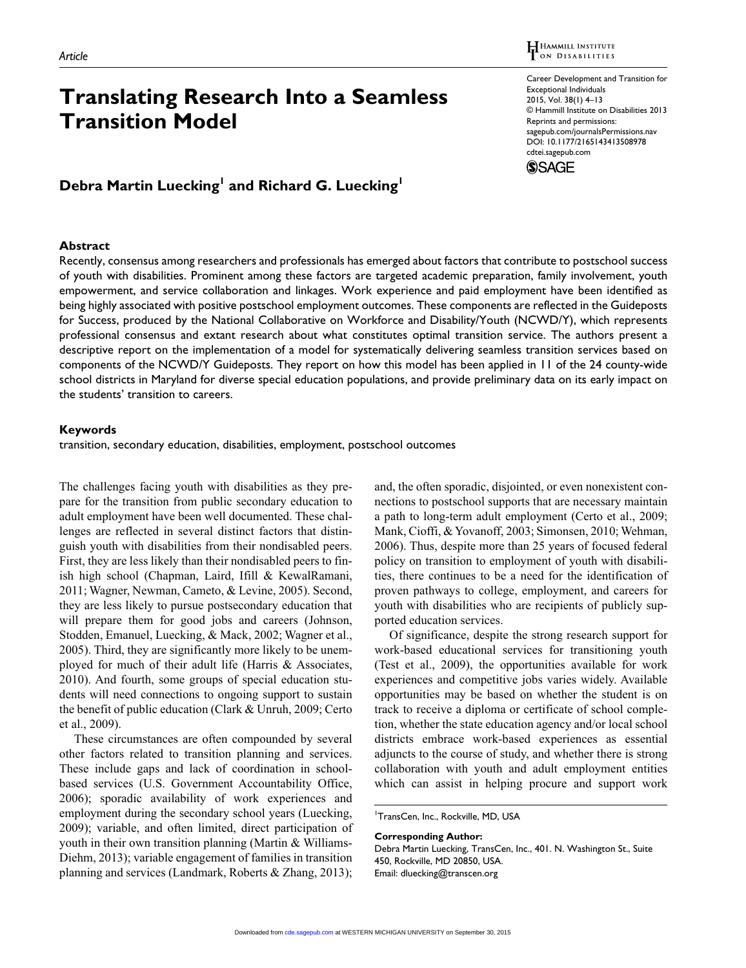# **Translating Research Into a Seamless Transition Model**

## $\bm{\mathsf{Debra}}$  Martin Luecking<sup>1</sup> and Richard G. Luecking<sup>1</sup>

### **Abstract**

Recently, consensus among researchers and professionals has emerged about factors that contribute to postschool success of youth with disabilities. Prominent among these factors are targeted academic preparation, family involvement, youth empowerment, and service collaboration and linkages. Work experience and paid employment have been identified as being highly associated with positive postschool employment outcomes. These components are reflected in the Guideposts for Success, produced by the National Collaborative on Workforce and Disability/Youth (NCWD/Y), which represents professional consensus and extant research about what constitutes optimal transition service. The authors present a descriptive report on the implementation of a model for systematically delivering seamless transition services based on components of the NCWD/Y Guideposts. They report on how this model has been applied in 11 of the 24 county-wide school districts in Maryland for diverse special education populations, and provide preliminary data on its early impact on the students' transition to careers.

#### **Keywords**

transition, secondary education, disabilities, employment, postschool outcomes

The challenges facing youth with disabilities as they prepare for the transition from public secondary education to adult employment have been well documented. These challenges are reflected in several distinct factors that distinguish youth with disabilities from their nondisabled peers. First, they are less likely than their nondisabled peers to finish high school (Chapman, Laird, Ifill & KewalRamani, 2011; Wagner, Newman, Cameto, & Levine, 2005). Second, they are less likely to pursue postsecondary education that will prepare them for good jobs and careers (Johnson, Stodden, Emanuel, Luecking, & Mack, 2002; Wagner et al., 2005). Third, they are significantly more likely to be unemployed for much of their adult life (Harris & Associates, 2010). And fourth, some groups of special education students will need connections to ongoing support to sustain the benefit of public education (Clark & Unruh, 2009; Certo et al., 2009).

These circumstances are often compounded by several other factors related to transition planning and services. These include gaps and lack of coordination in schoolbased services (U.S. Government Accountability Office, 2006); sporadic availability of work experiences and employment during the secondary school years (Luecking, 2009); variable, and often limited, direct participation of youth in their own transition planning (Martin & Williams-Diehm, 2013); variable engagement of families in transition planning and services (Landmark, Roberts & Zhang, 2013);

and, the often sporadic, disjointed, or even nonexistent connections to postschool supports that are necessary maintain a path to long-term adult employment (Certo et al., 2009; Mank, Cioffi, & Yovanoff, 2003; Simonsen, 2010; Wehman, 2006). Thus, despite more than 25 years of focused federal policy on transition to employment of youth with disabilities, there continues to be a need for the identification of proven pathways to college, employment, and careers for youth with disabilities who are recipients of publicly supported education services.

Of significance, despite the strong research support for work-based educational services for transitioning youth (Test et al., 2009), the opportunities available for work experiences and competitive jobs varies widely. Available opportunities may be based on whether the student is on track to receive a diploma or certificate of school completion, whether the state education agency and/or local school districts embrace work-based experiences as essential adjuncts to the course of study, and whether there is strong collaboration with youth and adult employment entities which can assist in helping procure and support work

<sup>1</sup>TransCen, Inc., Rockville, MD, USA

#### **Corresponding Author:**

Debra Martin Luecking, TransCen, Inc., 401. N. Washington St., Suite 450, Rockville, MD 20850, USA. Email: [dluecking@transcen.org](mailto:dluecking@transcen.org)

## H HAMMILL INSTITUTE<br>ON DISABILITIES

Career Development and Transition for Exceptional Individuals 2015, Vol. 38(1) 4–13 © Hammill Institute on Disabilities 2013 Reprints and permissions: sagepub.com/journalsPermissions.nav DOI: 10.1177/2165143413508978 cdtei.sagepub.com **SSAGE**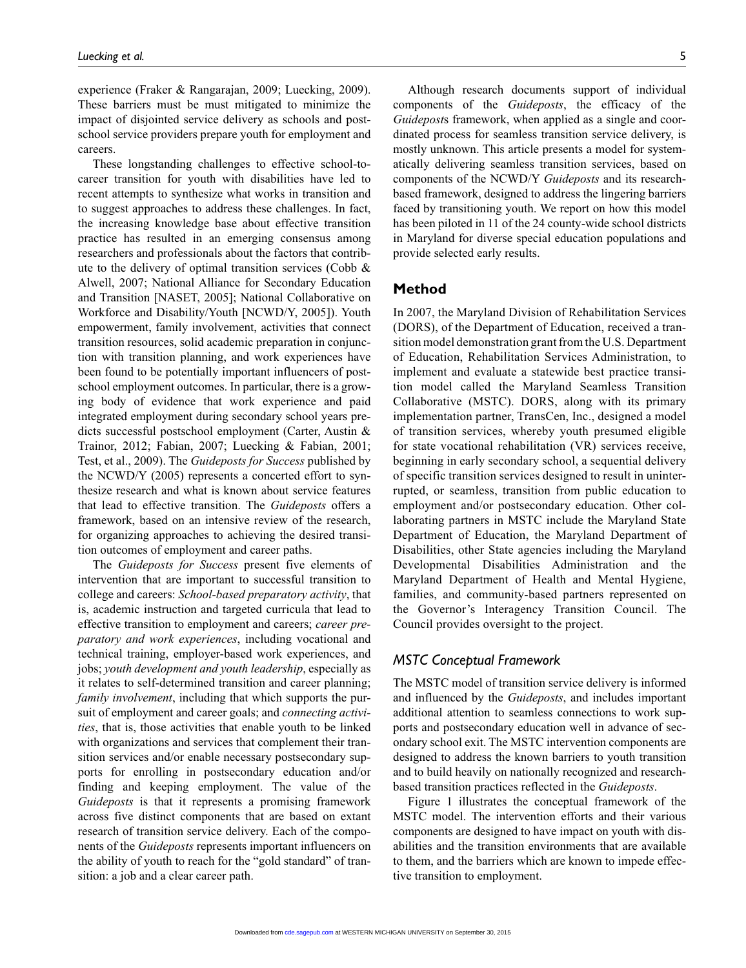experience (Fraker & Rangarajan, 2009; Luecking, 2009). These barriers must be must mitigated to minimize the impact of disjointed service delivery as schools and postschool service providers prepare youth for employment and careers.

These longstanding challenges to effective school-tocareer transition for youth with disabilities have led to recent attempts to synthesize what works in transition and to suggest approaches to address these challenges. In fact, the increasing knowledge base about effective transition practice has resulted in an emerging consensus among researchers and professionals about the factors that contribute to the delivery of optimal transition services (Cobb  $\&$ Alwell, 2007; National Alliance for Secondary Education and Transition [NASET, 2005]; National Collaborative on Workforce and Disability/Youth [NCWD/Y, 2005]). Youth empowerment, family involvement, activities that connect transition resources, solid academic preparation in conjunction with transition planning, and work experiences have been found to be potentially important influencers of postschool employment outcomes. In particular, there is a growing body of evidence that work experience and paid integrated employment during secondary school years predicts successful postschool employment (Carter, Austin & Trainor, 2012; Fabian, 2007; Luecking & Fabian, 2001; Test, et al., 2009). The *Guideposts for Success* published by the NCWD/Y (2005) represents a concerted effort to synthesize research and what is known about service features that lead to effective transition. The *Guideposts* offers a framework, based on an intensive review of the research, for organizing approaches to achieving the desired transition outcomes of employment and career paths.

The *Guideposts for Success* present five elements of intervention that are important to successful transition to college and careers: *School-based preparatory activity*, that is, academic instruction and targeted curricula that lead to effective transition to employment and careers; *career preparatory and work experiences*, including vocational and technical training, employer-based work experiences, and jobs; *youth development and youth leadership*, especially as it relates to self-determined transition and career planning; *family involvement*, including that which supports the pursuit of employment and career goals; and *connecting activities*, that is, those activities that enable youth to be linked with organizations and services that complement their transition services and/or enable necessary postsecondary supports for enrolling in postsecondary education and/or finding and keeping employment. The value of the *Guideposts* is that it represents a promising framework across five distinct components that are based on extant research of transition service delivery. Each of the components of the *Guideposts* represents important influencers on the ability of youth to reach for the "gold standard" of transition: a job and a clear career path.

Although research documents support of individual components of the *Guideposts*, the efficacy of the *Guidepost*s framework, when applied as a single and coordinated process for seamless transition service delivery, is mostly unknown. This article presents a model for systematically delivering seamless transition services, based on components of the NCWD/Y *Guideposts* and its researchbased framework, designed to address the lingering barriers faced by transitioning youth. We report on how this model has been piloted in 11 of the 24 county-wide school districts in Maryland for diverse special education populations and provide selected early results.

#### **Method**

In 2007, the Maryland Division of Rehabilitation Services (DORS), of the Department of Education, received a transition model demonstration grant from the U.S. Department of Education, Rehabilitation Services Administration, to implement and evaluate a statewide best practice transition model called the Maryland Seamless Transition Collaborative (MSTC). DORS, along with its primary implementation partner, TransCen, Inc., designed a model of transition services, whereby youth presumed eligible for state vocational rehabilitation (VR) services receive, beginning in early secondary school, a sequential delivery of specific transition services designed to result in uninterrupted, or seamless, transition from public education to employment and/or postsecondary education. Other collaborating partners in MSTC include the Maryland State Department of Education, the Maryland Department of Disabilities, other State agencies including the Maryland Developmental Disabilities Administration and the Maryland Department of Health and Mental Hygiene, families, and community-based partners represented on the Governor's Interagency Transition Council. The Council provides oversight to the project.

## *MSTC Conceptual Framework*

The MSTC model of transition service delivery is informed and influenced by the *Guideposts*, and includes important additional attention to seamless connections to work supports and postsecondary education well in advance of secondary school exit. The MSTC intervention components are designed to address the known barriers to youth transition and to build heavily on nationally recognized and researchbased transition practices reflected in the *Guideposts*.

Figure 1 illustrates the conceptual framework of the MSTC model. The intervention efforts and their various components are designed to have impact on youth with disabilities and the transition environments that are available to them, and the barriers which are known to impede effective transition to employment.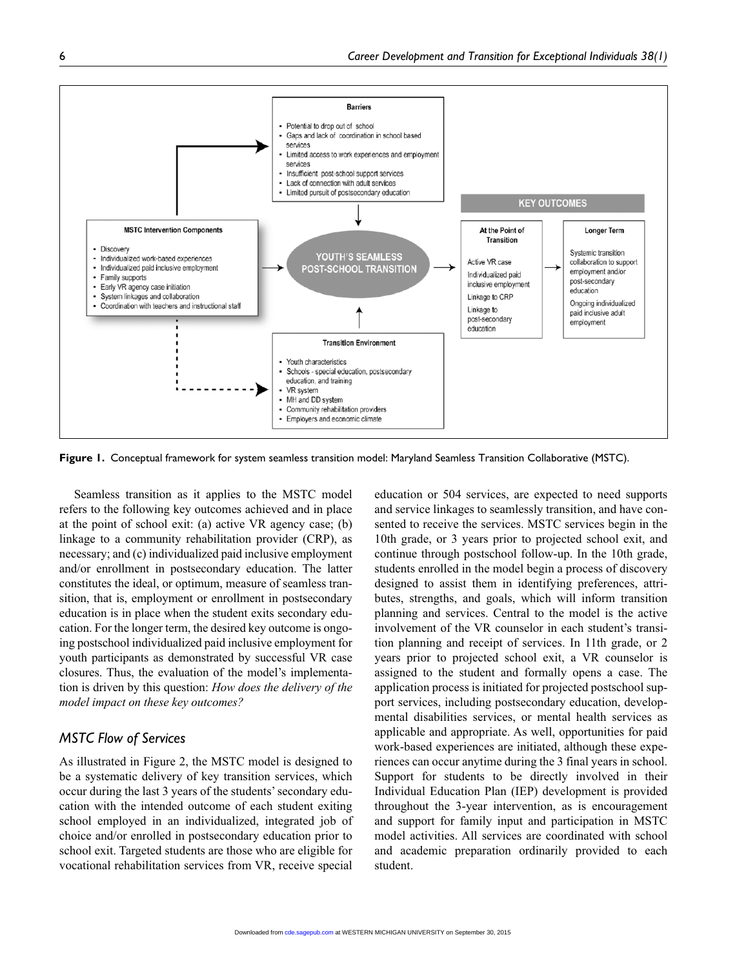

**Figure 1.** Conceptual framework for system seamless transition model: Maryland Seamless Transition Collaborative (MSTC).

Seamless transition as it applies to the MSTC model refers to the following key outcomes achieved and in place at the point of school exit: (a) active VR agency case; (b) linkage to a community rehabilitation provider (CRP), as necessary; and (c) individualized paid inclusive employment and/or enrollment in postsecondary education. The latter constitutes the ideal, or optimum, measure of seamless transition, that is, employment or enrollment in postsecondary education is in place when the student exits secondary education. For the longer term, the desired key outcome is ongoing postschool individualized paid inclusive employment for youth participants as demonstrated by successful VR case closures. Thus, the evaluation of the model's implementation is driven by this question: *How does the delivery of the model impact on these key outcomes?*

## *MSTC Flow of Services*

As illustrated in Figure 2, the MSTC model is designed to be a systematic delivery of key transition services, which occur during the last 3 years of the students' secondary education with the intended outcome of each student exiting school employed in an individualized, integrated job of choice and/or enrolled in postsecondary education prior to school exit. Targeted students are those who are eligible for vocational rehabilitation services from VR, receive special

education or 504 services, are expected to need supports and service linkages to seamlessly transition, and have consented to receive the services. MSTC services begin in the 10th grade, or 3 years prior to projected school exit, and continue through postschool follow-up. In the 10th grade, students enrolled in the model begin a process of discovery designed to assist them in identifying preferences, attributes, strengths, and goals, which will inform transition planning and services. Central to the model is the active involvement of the VR counselor in each student's transition planning and receipt of services. In 11th grade, or 2 years prior to projected school exit, a VR counselor is assigned to the student and formally opens a case. The application process is initiated for projected postschool support services, including postsecondary education, developmental disabilities services, or mental health services as applicable and appropriate. As well, opportunities for paid work-based experiences are initiated, although these experiences can occur anytime during the 3 final years in school. Support for students to be directly involved in their Individual Education Plan (IEP) development is provided throughout the 3-year intervention, as is encouragement and support for family input and participation in MSTC model activities. All services are coordinated with school and academic preparation ordinarily provided to each student.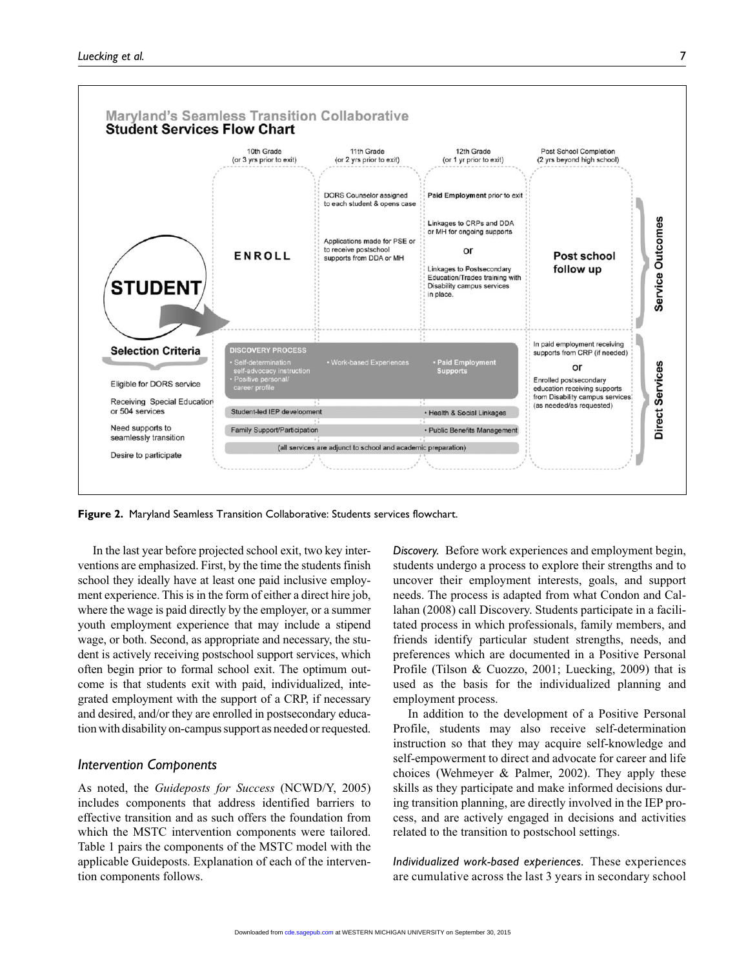

**Figure 2.** Maryland Seamless Transition Collaborative: Students services flowchart.

In the last year before projected school exit, two key interventions are emphasized. First, by the time the students finish school they ideally have at least one paid inclusive employment experience. This is in the form of either a direct hire job, where the wage is paid directly by the employer, or a summer youth employment experience that may include a stipend wage, or both. Second, as appropriate and necessary, the student is actively receiving postschool support services, which often begin prior to formal school exit. The optimum outcome is that students exit with paid, individualized, integrated employment with the support of a CRP, if necessary and desired, and/or they are enrolled in postsecondary education with disability on-campus support as needed or requested.

#### *Intervention Components*

As noted, the *Guideposts for Success* (NCWD/Y, 2005) includes components that address identified barriers to effective transition and as such offers the foundation from which the MSTC intervention components were tailored. Table 1 pairs the components of the MSTC model with the applicable Guideposts. Explanation of each of the intervention components follows.

*Discovery.* Before work experiences and employment begin, students undergo a process to explore their strengths and to uncover their employment interests, goals, and support needs. The process is adapted from what Condon and Callahan (2008) call Discovery. Students participate in a facilitated process in which professionals, family members, and friends identify particular student strengths, needs, and preferences which are documented in a Positive Personal Profile (Tilson & Cuozzo, 2001; Luecking, 2009) that is used as the basis for the individualized planning and employment process.

In addition to the development of a Positive Personal Profile, students may also receive self-determination instruction so that they may acquire self-knowledge and self-empowerment to direct and advocate for career and life choices (Wehmeyer & Palmer, 2002). They apply these skills as they participate and make informed decisions during transition planning, are directly involved in the IEP process, and are actively engaged in decisions and activities related to the transition to postschool settings.

*Individualized work-based experiences.* These experiences are cumulative across the last 3 years in secondary school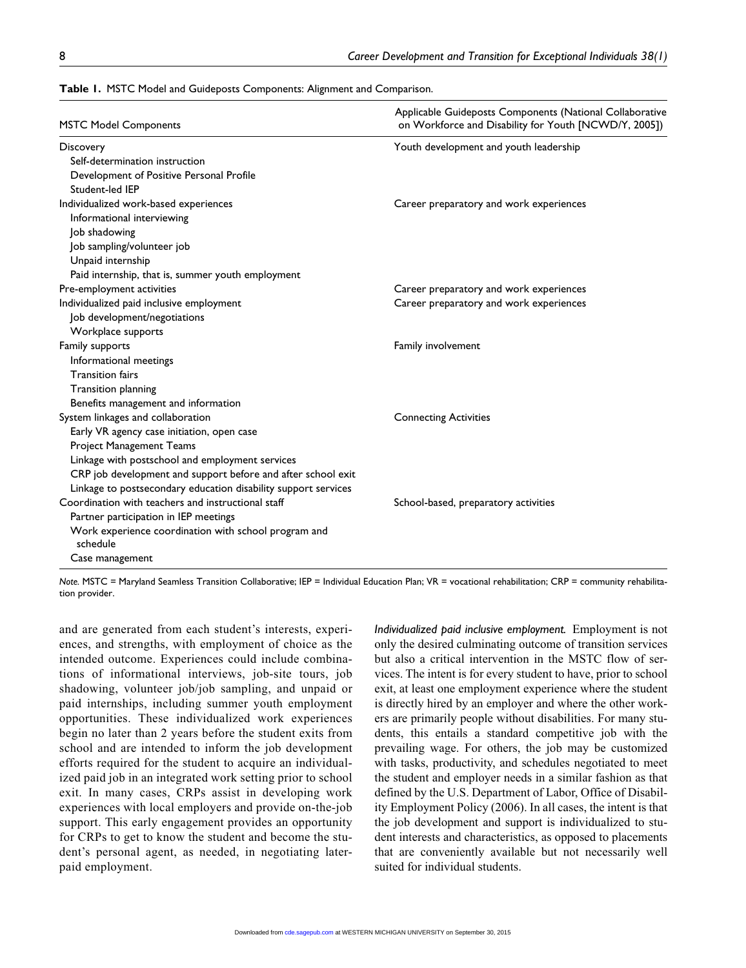| <b>MSTC Model Components</b>                                   | Applicable Guideposts Components (National Collaborative<br>on Workforce and Disability for Youth [NCWD/Y, 2005]) |  |
|----------------------------------------------------------------|-------------------------------------------------------------------------------------------------------------------|--|
| <b>Discovery</b>                                               | Youth development and youth leadership                                                                            |  |
| Self-determination instruction                                 |                                                                                                                   |  |
| Development of Positive Personal Profile                       |                                                                                                                   |  |
| Student-led IEP                                                |                                                                                                                   |  |
| Individualized work-based experiences                          | Career preparatory and work experiences                                                                           |  |
| Informational interviewing                                     |                                                                                                                   |  |
| Job shadowing                                                  |                                                                                                                   |  |
| Job sampling/volunteer job                                     |                                                                                                                   |  |
| Unpaid internship                                              |                                                                                                                   |  |
| Paid internship, that is, summer youth employment              |                                                                                                                   |  |
| Pre-employment activities                                      | Career preparatory and work experiences                                                                           |  |
| Individualized paid inclusive employment                       | Career preparatory and work experiences                                                                           |  |
| Job development/negotiations                                   |                                                                                                                   |  |
| Workplace supports                                             |                                                                                                                   |  |
| Family supports                                                | Family involvement                                                                                                |  |
| Informational meetings                                         |                                                                                                                   |  |
| <b>Transition fairs</b>                                        |                                                                                                                   |  |
| Transition planning                                            |                                                                                                                   |  |
| Benefits management and information                            |                                                                                                                   |  |
| System linkages and collaboration                              | <b>Connecting Activities</b>                                                                                      |  |
| Early VR agency case initiation, open case                     |                                                                                                                   |  |
| Project Management Teams                                       |                                                                                                                   |  |
| Linkage with postschool and employment services                |                                                                                                                   |  |
| CRP job development and support before and after school exit   |                                                                                                                   |  |
| Linkage to postsecondary education disability support services |                                                                                                                   |  |
| Coordination with teachers and instructional staff             | School-based, preparatory activities                                                                              |  |
| Partner participation in IEP meetings                          |                                                                                                                   |  |
| Work experience coordination with school program and           |                                                                                                                   |  |
| schedule                                                       |                                                                                                                   |  |
| Case management                                                |                                                                                                                   |  |

|  |  |  |  | Table 1. MSTC Model and Guideposts Components: Alignment and Comparison. |
|--|--|--|--|--------------------------------------------------------------------------|
|--|--|--|--|--------------------------------------------------------------------------|

*Note.* MSTC = Maryland Seamless Transition Collaborative; IEP = Individual Education Plan; VR = vocational rehabilitation; CRP = community rehabilitation provider.

and are generated from each student's interests, experiences, and strengths, with employment of choice as the intended outcome. Experiences could include combinations of informational interviews, job-site tours, job shadowing, volunteer job/job sampling, and unpaid or paid internships, including summer youth employment opportunities. These individualized work experiences begin no later than 2 years before the student exits from school and are intended to inform the job development efforts required for the student to acquire an individualized paid job in an integrated work setting prior to school exit. In many cases, CRPs assist in developing work experiences with local employers and provide on-the-job support. This early engagement provides an opportunity for CRPs to get to know the student and become the student's personal agent, as needed, in negotiating laterpaid employment.

*Individualized paid inclusive employment.* Employment is not only the desired culminating outcome of transition services but also a critical intervention in the MSTC flow of services. The intent is for every student to have, prior to school exit, at least one employment experience where the student is directly hired by an employer and where the other workers are primarily people without disabilities. For many students, this entails a standard competitive job with the prevailing wage. For others, the job may be customized with tasks, productivity, and schedules negotiated to meet the student and employer needs in a similar fashion as that defined by the U.S. Department of Labor, Office of Disability Employment Policy (2006). In all cases, the intent is that the job development and support is individualized to student interests and characteristics, as opposed to placements that are conveniently available but not necessarily well suited for individual students.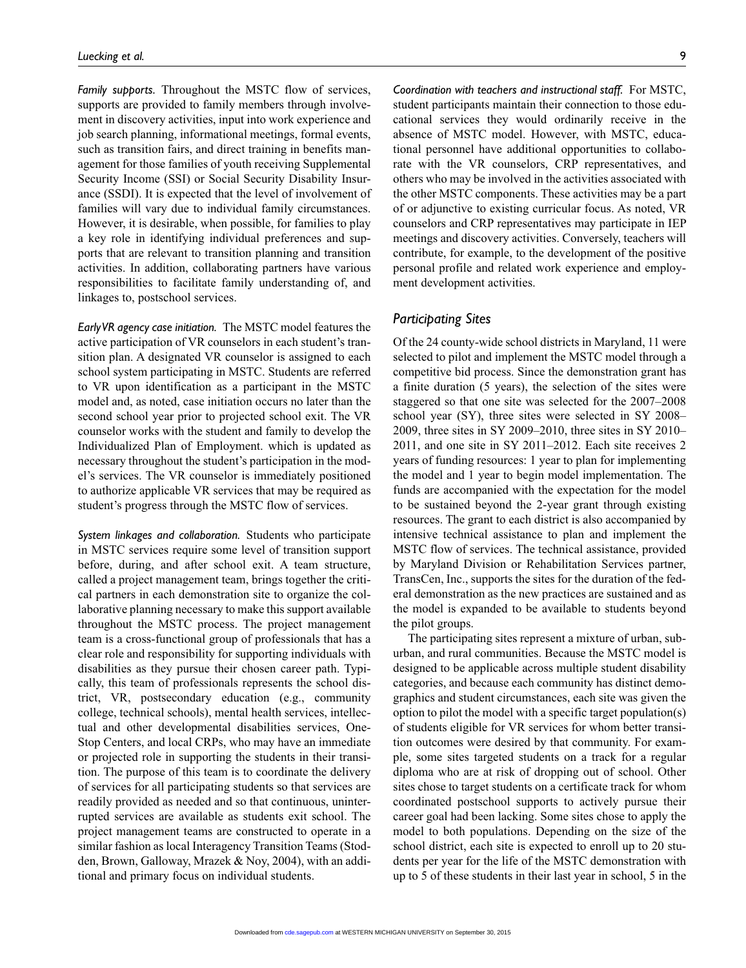*Family supports.* Throughout the MSTC flow of services, supports are provided to family members through involvement in discovery activities, input into work experience and job search planning, informational meetings, formal events, such as transition fairs, and direct training in benefits management for those families of youth receiving Supplemental Security Income (SSI) or Social Security Disability Insurance (SSDI). It is expected that the level of involvement of families will vary due to individual family circumstances. However, it is desirable, when possible, for families to play a key role in identifying individual preferences and supports that are relevant to transition planning and transition activities. In addition, collaborating partners have various responsibilities to facilitate family understanding of, and linkages to, postschool services.

*Early VR agency case initiation.* The MSTC model features the active participation of VR counselors in each student's transition plan. A designated VR counselor is assigned to each school system participating in MSTC. Students are referred to VR upon identification as a participant in the MSTC model and, as noted, case initiation occurs no later than the second school year prior to projected school exit. The VR counselor works with the student and family to develop the Individualized Plan of Employment. which is updated as necessary throughout the student's participation in the model's services. The VR counselor is immediately positioned to authorize applicable VR services that may be required as student's progress through the MSTC flow of services.

*System linkages and collaboration.* Students who participate in MSTC services require some level of transition support before, during, and after school exit. A team structure, called a project management team, brings together the critical partners in each demonstration site to organize the collaborative planning necessary to make this support available throughout the MSTC process. The project management team is a cross-functional group of professionals that has a clear role and responsibility for supporting individuals with disabilities as they pursue their chosen career path. Typically, this team of professionals represents the school district, VR, postsecondary education (e.g., community college, technical schools), mental health services, intellectual and other developmental disabilities services, One-Stop Centers, and local CRPs, who may have an immediate or projected role in supporting the students in their transition. The purpose of this team is to coordinate the delivery of services for all participating students so that services are readily provided as needed and so that continuous, uninterrupted services are available as students exit school. The project management teams are constructed to operate in a similar fashion as local Interagency Transition Teams (Stodden, Brown, Galloway, Mrazek & Noy, 2004), with an additional and primary focus on individual students.

*Coordination with teachers and instructional staff.* For MSTC, student participants maintain their connection to those educational services they would ordinarily receive in the absence of MSTC model. However, with MSTC, educational personnel have additional opportunities to collaborate with the VR counselors, CRP representatives, and others who may be involved in the activities associated with the other MSTC components. These activities may be a part of or adjunctive to existing curricular focus. As noted, VR counselors and CRP representatives may participate in IEP meetings and discovery activities. Conversely, teachers will contribute, for example, to the development of the positive personal profile and related work experience and employment development activities.

## *Participating Sites*

Of the 24 county-wide school districts in Maryland, 11 were selected to pilot and implement the MSTC model through a competitive bid process. Since the demonstration grant has a finite duration (5 years), the selection of the sites were staggered so that one site was selected for the 2007–2008 school year (SY), three sites were selected in SY 2008– 2009, three sites in SY 2009–2010, three sites in SY 2010– 2011, and one site in SY 2011–2012. Each site receives 2 years of funding resources: 1 year to plan for implementing the model and 1 year to begin model implementation. The funds are accompanied with the expectation for the model to be sustained beyond the 2-year grant through existing resources. The grant to each district is also accompanied by intensive technical assistance to plan and implement the MSTC flow of services. The technical assistance, provided by Maryland Division or Rehabilitation Services partner, TransCen, Inc., supports the sites for the duration of the federal demonstration as the new practices are sustained and as the model is expanded to be available to students beyond the pilot groups.

The participating sites represent a mixture of urban, suburban, and rural communities. Because the MSTC model is designed to be applicable across multiple student disability categories, and because each community has distinct demographics and student circumstances, each site was given the option to pilot the model with a specific target population(s) of students eligible for VR services for whom better transition outcomes were desired by that community. For example, some sites targeted students on a track for a regular diploma who are at risk of dropping out of school. Other sites chose to target students on a certificate track for whom coordinated postschool supports to actively pursue their career goal had been lacking. Some sites chose to apply the model to both populations. Depending on the size of the school district, each site is expected to enroll up to 20 students per year for the life of the MSTC demonstration with up to 5 of these students in their last year in school, 5 in the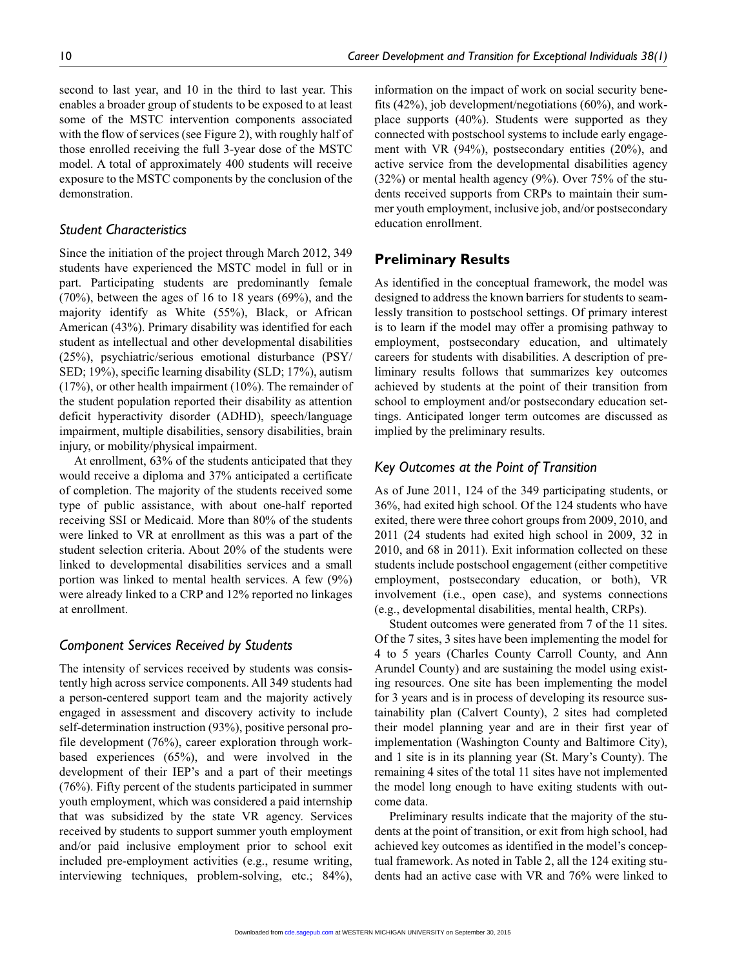second to last year, and 10 in the third to last year. This enables a broader group of students to be exposed to at least some of the MSTC intervention components associated with the flow of services (see Figure 2), with roughly half of those enrolled receiving the full 3-year dose of the MSTC model. A total of approximately 400 students will receive exposure to the MSTC components by the conclusion of the demonstration.

## *Student Characteristics*

Since the initiation of the project through March 2012, 349 students have experienced the MSTC model in full or in part. Participating students are predominantly female (70%), between the ages of 16 to 18 years (69%), and the majority identify as White (55%), Black, or African American (43%). Primary disability was identified for each student as intellectual and other developmental disabilities (25%), psychiatric/serious emotional disturbance (PSY/ SED; 19%), specific learning disability (SLD; 17%), autism (17%), or other health impairment (10%). The remainder of the student population reported their disability as attention deficit hyperactivity disorder (ADHD), speech/language impairment, multiple disabilities, sensory disabilities, brain injury, or mobility/physical impairment.

At enrollment, 63% of the students anticipated that they would receive a diploma and 37% anticipated a certificate of completion. The majority of the students received some type of public assistance, with about one-half reported receiving SSI or Medicaid. More than 80% of the students were linked to VR at enrollment as this was a part of the student selection criteria. About 20% of the students were linked to developmental disabilities services and a small portion was linked to mental health services. A few (9%) were already linked to a CRP and 12% reported no linkages at enrollment.

## *Component Services Received by Students*

The intensity of services received by students was consistently high across service components. All 349 students had a person-centered support team and the majority actively engaged in assessment and discovery activity to include self-determination instruction (93%), positive personal profile development (76%), career exploration through workbased experiences (65%), and were involved in the development of their IEP's and a part of their meetings (76%). Fifty percent of the students participated in summer youth employment, which was considered a paid internship that was subsidized by the state VR agency. Services received by students to support summer youth employment and/or paid inclusive employment prior to school exit included pre-employment activities (e.g., resume writing, interviewing techniques, problem-solving, etc.; 84%),

information on the impact of work on social security benefits (42%), job development/negotiations (60%), and workplace supports (40%). Students were supported as they connected with postschool systems to include early engagement with VR (94%), postsecondary entities (20%), and active service from the developmental disabilities agency (32%) or mental health agency (9%). Over 75% of the students received supports from CRPs to maintain their summer youth employment, inclusive job, and/or postsecondary education enrollment.

## **Preliminary Results**

As identified in the conceptual framework, the model was designed to address the known barriers for students to seamlessly transition to postschool settings. Of primary interest is to learn if the model may offer a promising pathway to employment, postsecondary education, and ultimately careers for students with disabilities. A description of preliminary results follows that summarizes key outcomes achieved by students at the point of their transition from school to employment and/or postsecondary education settings. Anticipated longer term outcomes are discussed as implied by the preliminary results.

## *Key Outcomes at the Point of Transition*

As of June 2011, 124 of the 349 participating students, or 36%, had exited high school. Of the 124 students who have exited, there were three cohort groups from 2009, 2010, and 2011 (24 students had exited high school in 2009, 32 in 2010, and 68 in 2011). Exit information collected on these students include postschool engagement (either competitive employment, postsecondary education, or both), VR involvement (i.e., open case), and systems connections (e.g., developmental disabilities, mental health, CRPs).

Student outcomes were generated from 7 of the 11 sites. Of the 7 sites, 3 sites have been implementing the model for 4 to 5 years (Charles County Carroll County, and Ann Arundel County) and are sustaining the model using existing resources. One site has been implementing the model for 3 years and is in process of developing its resource sustainability plan (Calvert County), 2 sites had completed their model planning year and are in their first year of implementation (Washington County and Baltimore City), and 1 site is in its planning year (St. Mary's County). The remaining 4 sites of the total 11 sites have not implemented the model long enough to have exiting students with outcome data.

Preliminary results indicate that the majority of the students at the point of transition, or exit from high school, had achieved key outcomes as identified in the model's conceptual framework. As noted in Table 2, all the 124 exiting students had an active case with VR and 76% were linked to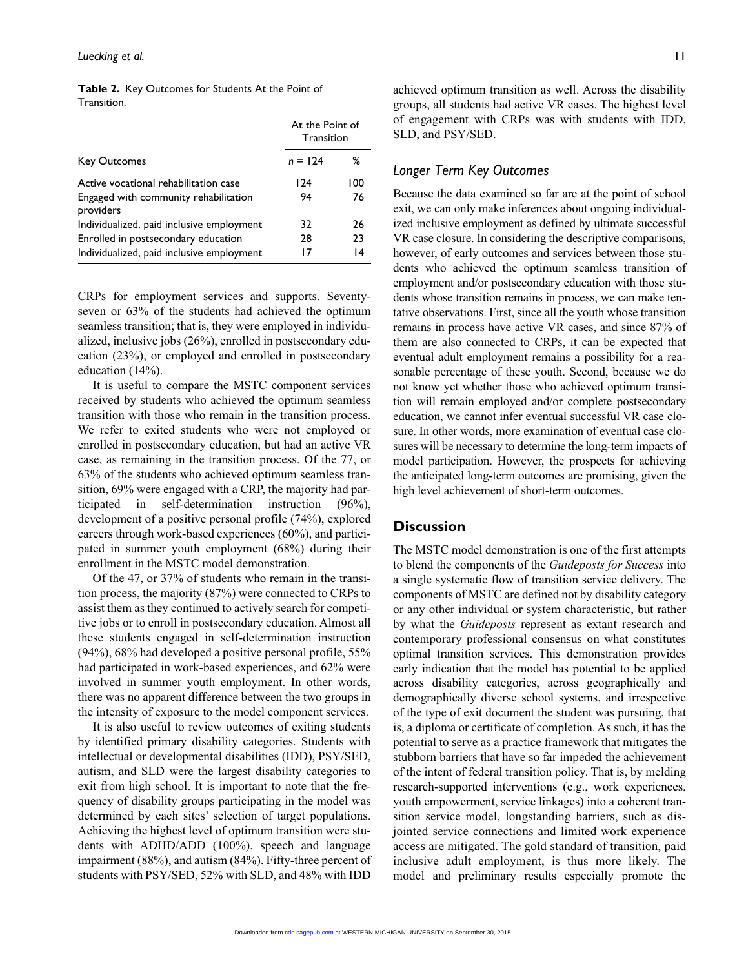|                                                    |           | At the Point of<br>Transition |  |
|----------------------------------------------------|-----------|-------------------------------|--|
| <b>Key Outcomes</b>                                | $n = 124$ | ℅                             |  |
| Active vocational rehabilitation case              | 124       | 100                           |  |
| Engaged with community rehabilitation<br>providers | 94        | 76                            |  |
| Individualized, paid inclusive employment          | 32        | 26                            |  |
| Enrolled in postsecondary education                | 28        | 23                            |  |
| Individualized, paid inclusive employment          | 17        | 14                            |  |

**Table 2.** Key Outcomes for Students At the Point of Transition.

CRPs for employment services and supports. Seventyseven or 63% of the students had achieved the optimum seamless transition; that is, they were employed in individualized, inclusive jobs (26%), enrolled in postsecondary education (23%), or employed and enrolled in postsecondary education (14%).

It is useful to compare the MSTC component services received by students who achieved the optimum seamless transition with those who remain in the transition process. We refer to exited students who were not employed or enrolled in postsecondary education, but had an active VR case, as remaining in the transition process. Of the 77, or 63% of the students who achieved optimum seamless transition, 69% were engaged with a CRP, the majority had participated in self-determination instruction (96%), development of a positive personal profile (74%), explored careers through work-based experiences (60%), and participated in summer youth employment (68%) during their enrollment in the MSTC model demonstration.

Of the 47, or 37% of students who remain in the transition process, the majority (87%) were connected to CRPs to assist them as they continued to actively search for competitive jobs or to enroll in postsecondary education. Almost all these students engaged in self-determination instruction (94%), 68% had developed a positive personal profile, 55% had participated in work-based experiences, and 62% were involved in summer youth employment. In other words, there was no apparent difference between the two groups in the intensity of exposure to the model component services.

It is also useful to review outcomes of exiting students by identified primary disability categories. Students with intellectual or developmental disabilities (IDD), PSY/SED, autism, and SLD were the largest disability categories to exit from high school. It is important to note that the frequency of disability groups participating in the model was determined by each sites' selection of target populations. Achieving the highest level of optimum transition were students with ADHD/ADD (100%), speech and language impairment (88%), and autism (84%). Fifty-three percent of students with PSY/SED, 52% with SLD, and 48% with IDD

achieved optimum transition as well. Across the disability groups, all students had active VR cases. The highest level of engagement with CRPs was with students with IDD, SLD, and PSY/SED.

### *Longer Term Key Outcomes*

Because the data examined so far are at the point of school exit, we can only make inferences about ongoing individualized inclusive employment as defined by ultimate successful VR case closure. In considering the descriptive comparisons, however, of early outcomes and services between those students who achieved the optimum seamless transition of employment and/or postsecondary education with those students whose transition remains in process, we can make tentative observations. First, since all the youth whose transition remains in process have active VR cases, and since 87% of them are also connected to CRPs, it can be expected that eventual adult employment remains a possibility for a reasonable percentage of these youth. Second, because we do not know yet whether those who achieved optimum transition will remain employed and/or complete postsecondary education, we cannot infer eventual successful VR case closure. In other words, more examination of eventual case closures will be necessary to determine the long-term impacts of model participation. However, the prospects for achieving the anticipated long-term outcomes are promising, given the high level achievement of short-term outcomes.

## **Discussion**

The MSTC model demonstration is one of the first attempts to blend the components of the *Guideposts for Success* into a single systematic flow of transition service delivery. The components of MSTC are defined not by disability category or any other individual or system characteristic, but rather by what the *Guideposts* represent as extant research and contemporary professional consensus on what constitutes optimal transition services. This demonstration provides early indication that the model has potential to be applied across disability categories, across geographically and demographically diverse school systems, and irrespective of the type of exit document the student was pursuing, that is, a diploma or certificate of completion. As such, it has the potential to serve as a practice framework that mitigates the stubborn barriers that have so far impeded the achievement of the intent of federal transition policy. That is, by melding research-supported interventions (e.g., work experiences, youth empowerment, service linkages) into a coherent transition service model, longstanding barriers, such as disjointed service connections and limited work experience access are mitigated. The gold standard of transition, paid inclusive adult employment, is thus more likely. The model and preliminary results especially promote the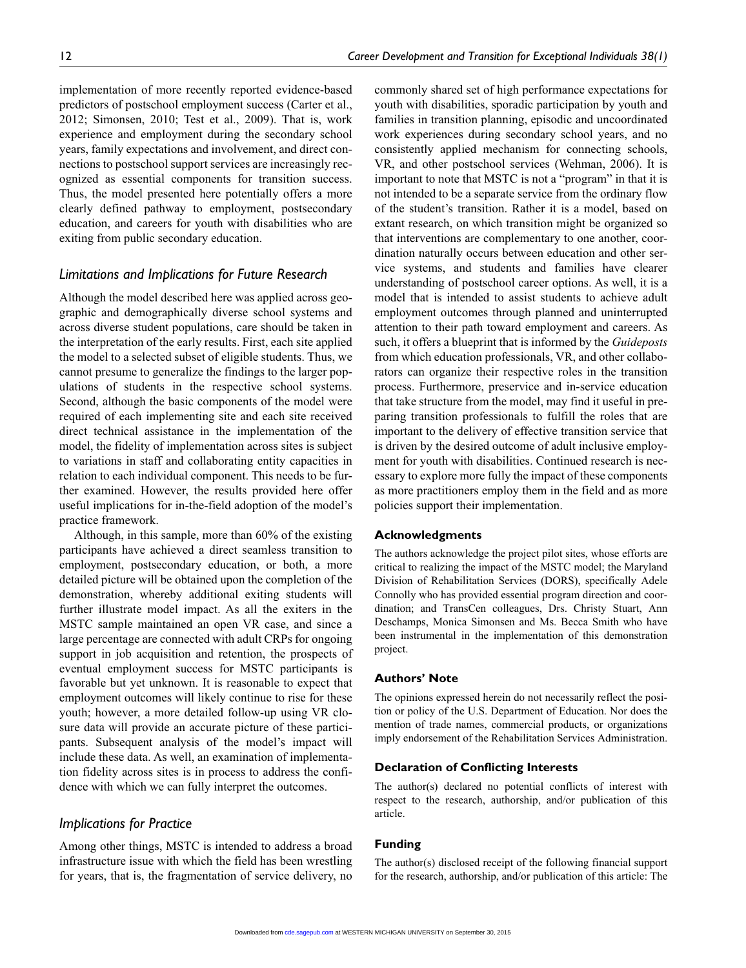implementation of more recently reported evidence-based predictors of postschool employment success (Carter et al., 2012; Simonsen, 2010; Test et al., 2009). That is, work experience and employment during the secondary school years, family expectations and involvement, and direct connections to postschool support services are increasingly recognized as essential components for transition success. Thus, the model presented here potentially offers a more clearly defined pathway to employment, postsecondary education, and careers for youth with disabilities who are exiting from public secondary education.

## *Limitations and Implications for Future Research*

Although the model described here was applied across geographic and demographically diverse school systems and across diverse student populations, care should be taken in the interpretation of the early results. First, each site applied the model to a selected subset of eligible students. Thus, we cannot presume to generalize the findings to the larger populations of students in the respective school systems. Second, although the basic components of the model were required of each implementing site and each site received direct technical assistance in the implementation of the model, the fidelity of implementation across sites is subject to variations in staff and collaborating entity capacities in relation to each individual component. This needs to be further examined. However, the results provided here offer useful implications for in-the-field adoption of the model's practice framework.

Although, in this sample, more than 60% of the existing participants have achieved a direct seamless transition to employment, postsecondary education, or both, a more detailed picture will be obtained upon the completion of the demonstration, whereby additional exiting students will further illustrate model impact. As all the exiters in the MSTC sample maintained an open VR case, and since a large percentage are connected with adult CRPs for ongoing support in job acquisition and retention, the prospects of eventual employment success for MSTC participants is favorable but yet unknown. It is reasonable to expect that employment outcomes will likely continue to rise for these youth; however, a more detailed follow-up using VR closure data will provide an accurate picture of these participants. Subsequent analysis of the model's impact will include these data. As well, an examination of implementation fidelity across sites is in process to address the confidence with which we can fully interpret the outcomes.

#### *Implications for Practice*

Among other things, MSTC is intended to address a broad infrastructure issue with which the field has been wrestling for years, that is, the fragmentation of service delivery, no commonly shared set of high performance expectations for youth with disabilities, sporadic participation by youth and families in transition planning, episodic and uncoordinated work experiences during secondary school years, and no consistently applied mechanism for connecting schools, VR, and other postschool services (Wehman, 2006). It is important to note that MSTC is not a "program" in that it is not intended to be a separate service from the ordinary flow of the student's transition. Rather it is a model, based on extant research, on which transition might be organized so that interventions are complementary to one another, coordination naturally occurs between education and other service systems, and students and families have clearer understanding of postschool career options. As well, it is a model that is intended to assist students to achieve adult employment outcomes through planned and uninterrupted attention to their path toward employment and careers. As such, it offers a blueprint that is informed by the *Guideposts* from which education professionals, VR, and other collaborators can organize their respective roles in the transition process. Furthermore, preservice and in-service education that take structure from the model, may find it useful in preparing transition professionals to fulfill the roles that are important to the delivery of effective transition service that is driven by the desired outcome of adult inclusive employment for youth with disabilities. Continued research is necessary to explore more fully the impact of these components as more practitioners employ them in the field and as more policies support their implementation.

#### **Acknowledgments**

The authors acknowledge the project pilot sites, whose efforts are critical to realizing the impact of the MSTC model; the Maryland Division of Rehabilitation Services (DORS), specifically Adele Connolly who has provided essential program direction and coordination; and TransCen colleagues, Drs. Christy Stuart, Ann Deschamps, Monica Simonsen and Ms. Becca Smith who have been instrumental in the implementation of this demonstration project.

#### **Authors' Note**

The opinions expressed herein do not necessarily reflect the position or policy of the U.S. Department of Education. Nor does the mention of trade names, commercial products, or organizations imply endorsement of the Rehabilitation Services Administration.

#### **Declaration of Conflicting Interests**

The author(s) declared no potential conflicts of interest with respect to the research, authorship, and/or publication of this article.

#### **Funding**

The author(s) disclosed receipt of the following financial support for the research, authorship, and/or publication of this article: The